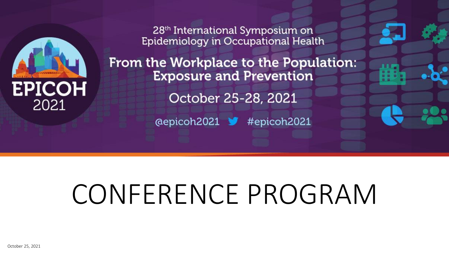

28<sup>th</sup> International Symposium on Epidemiology in Occupational Health

From the Workplace to the Population: **Exposure and Prevention** October 25-28, 2021 @epicoh2021 # #epicoh2021

# CONFERENCE PROGRAM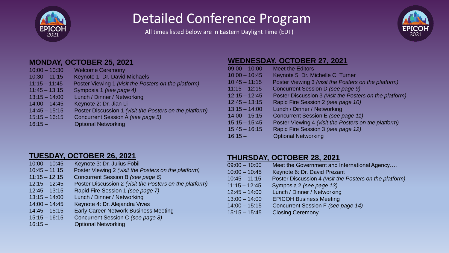

### Detailed Conference Program

All times listed below are in Eastern Daylight Time (EDT)



#### **MONDAY, OCTOBER 25, 2021**

| $10:00 - 10:30$ | <b>Welcome Ceremony</b>                                 |
|-----------------|---------------------------------------------------------|
| $10:30 - 11:15$ | Keynote 1: Dr. David Michaels                           |
| $11:15 - 11:45$ | Poster Viewing 1 (visit the Posters on the platform)    |
| $11:45 - 13:15$ | Symposia 1 (see page 4)                                 |
| $13:15 - 14:00$ | Lunch / Dinner / Networking                             |
| $14:00 - 14:45$ | Keynote 2: Dr. Jian Li                                  |
| $14:45 - 15:15$ | Poster Discussion 1 (visit the Posters on the platform) |
| $15:15 - 16:15$ | Concurrent Session A (see page 5)                       |
| $16:15 -$       | <b>Optional Networking</b>                              |

#### **WEDNESDAY, OCTOBER 27, 2021**

| $09:00 - 10:00$ | <b>Meet the Editors</b>                                 |
|-----------------|---------------------------------------------------------|
| $10:00 - 10:45$ | Keynote 5: Dr. Michelle C. Turner                       |
| $10:45 - 11:15$ | Poster Viewing 3 (visit the Posters on the platform)    |
| $11:15 - 12:15$ | Concurrent Session D (see page 9)                       |
| $12:15 - 12:45$ | Poster Discussion 3 (visit the Posters on the platform) |
| $12:45 - 13:15$ | Rapid Fire Session 2 (see page 10)                      |
| $13:15 - 14:00$ | Lunch / Dinner / Networking                             |
| $14:00 - 15:15$ | Concurrent Session E (see page 11)                      |
| $15:15 - 15:45$ | Poster Viewing 4 (visit the Posters on the platform)    |
| $15:45 - 16:15$ | Rapid Fire Session 3 (see page 12)                      |
| $16:15 -$       | <b>Optional Networking</b>                              |

#### **TUESDAY, OCTOBER 26, 2021**

- 10:00 10:45 Keynote 3: Dr. Julius Fobil
- 10:45 11:15 Poster Viewing 2 *(visit the Posters on the platform)*
- 11:15 12:15 Concurrent Session B *(see page 6)*
- 12:15 12:45 Poster Discussion 2 *(visit the Posters on the platform)*
- 12:45 13:15 Rapid Fire Session 1 *(see page 7)*
- 13:15 14:00 Lunch / Dinner / Networking
- 14:00 14:45 Keynote 4: Dr. Alejandra Vives
- 14:45 15:15 Early Career Network Business Meeting
- 15:15 16:15 Concurrent Session C *(see page 8)*
- 16:15 Optional Networking

#### **THURSDAY, OCTOBER 28, 2021**

09:00 – 10:00 Meet the Government and International Agency…. 10:00 – 10:45 Keynote 6: Dr. David Prezant 10:45 – 11:15 Poster Discussion 4 *(visit the Posters on the platform)* 11:15 – 12:45 Symposia 2 *(see page 13)* 12:45 – 14:00 Lunch / Dinner / Networking 13:00 – 14:00 EPICOH Business Meeting 14:00 – 15:15 Concurrent Session F *(see page 14)* 15:15 – 15:45 Closing Ceremony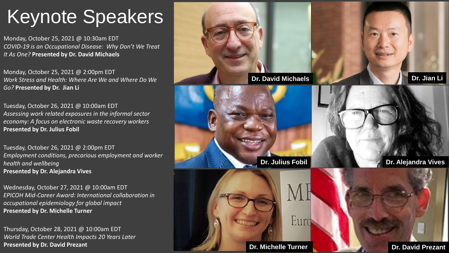## Keynote Speakers

Monday, October 25, 2021 @ 10:30am EDT *COVID-19 is an Occupational Disease: Why Don't We Treat It As One?* **Presented by Dr. David Michaels**

Monday, October 25, 2021 @ 2:00pm EDT *Work Stress and Health: Where Are We and Where Do We Go?* **Presented by Dr. Jian Li**

Tuesday, October 26, 2021 @ 10:00am EDT *Assessing work related exposures in the informal sector economy: A focus on electronic waste recovery workers* **Presented by Dr. Julius Fobil**

Tuesday, October 26, 2021 @ 2:00pm EDT *Employment conditions, precarious employment and worker health and wellbeing*  **Presented by Dr. Alejandra Vives**

Wednesday, October 27, 2021 @ 10:00am EDT *EPICOH Mid-Career Award: International collaboration in occupational epidemiology for global impact* **Presented by Dr. Michelle Turner**

Thursday, October 28, 2021 @ 10:00am EDT *World Trade Center Health Impacts 20 Years Later* **Presented by Dr. David Prezant**

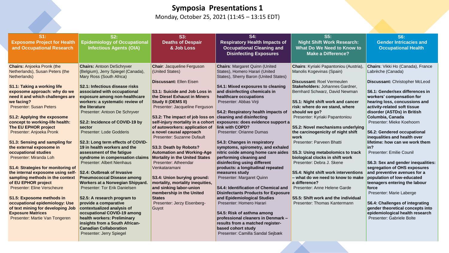#### **Symposia Presentations 1**

Monday, October 25, 2021 (11:45 – 13:15 EDT)

| $S1$ :<br><b>Exposome Project for Health</b><br>and Occupational Research                                                                                                                                                                                                                                                                                                                                                                                                                                                                                                                                                                                                                                                                                                                                                         | S2:<br><b>Epidemiology of Occupational</b><br><b>Infectious Agents (OIA)</b>                                                                                                                                                                                                                                                                                                                                                                                                                                                                                                                                                                                                                                                                                                                                                                                                                                                                    | S3:<br><b>Deaths of Despair</b><br>& Job Loss                                                                                                                                                                                                                                                                                                                                                                                                                                                                                                                                                                                                                                                                   | S4:<br><b>Respiratory Health Impacts of</b><br><b>Occupational Cleaning and</b><br><b>Disinfecting Exposures</b>                                                                                                                                                                                                                                                                                                                                                                                                                                                                                                                                                                                                                                                                                                                                                                                                                                                                        | S5:<br><b>Night Shift Work Research:</b><br>What Do We Need to Know to<br><b>Make a Difference?</b>                                                                                                                                                                                                                                                                                                                                                                                                                                                                                                                                                                                                                                     | <b>S6:</b><br><b>Gender Intricacies and</b><br><b>Occupational Health</b>                                                                                                                                                                                                                                                                                                                                                                                                                                                                                                                                                                                                                                                                                                                      |
|-----------------------------------------------------------------------------------------------------------------------------------------------------------------------------------------------------------------------------------------------------------------------------------------------------------------------------------------------------------------------------------------------------------------------------------------------------------------------------------------------------------------------------------------------------------------------------------------------------------------------------------------------------------------------------------------------------------------------------------------------------------------------------------------------------------------------------------|-------------------------------------------------------------------------------------------------------------------------------------------------------------------------------------------------------------------------------------------------------------------------------------------------------------------------------------------------------------------------------------------------------------------------------------------------------------------------------------------------------------------------------------------------------------------------------------------------------------------------------------------------------------------------------------------------------------------------------------------------------------------------------------------------------------------------------------------------------------------------------------------------------------------------------------------------|-----------------------------------------------------------------------------------------------------------------------------------------------------------------------------------------------------------------------------------------------------------------------------------------------------------------------------------------------------------------------------------------------------------------------------------------------------------------------------------------------------------------------------------------------------------------------------------------------------------------------------------------------------------------------------------------------------------------|-----------------------------------------------------------------------------------------------------------------------------------------------------------------------------------------------------------------------------------------------------------------------------------------------------------------------------------------------------------------------------------------------------------------------------------------------------------------------------------------------------------------------------------------------------------------------------------------------------------------------------------------------------------------------------------------------------------------------------------------------------------------------------------------------------------------------------------------------------------------------------------------------------------------------------------------------------------------------------------------|-----------------------------------------------------------------------------------------------------------------------------------------------------------------------------------------------------------------------------------------------------------------------------------------------------------------------------------------------------------------------------------------------------------------------------------------------------------------------------------------------------------------------------------------------------------------------------------------------------------------------------------------------------------------------------------------------------------------------------------------|------------------------------------------------------------------------------------------------------------------------------------------------------------------------------------------------------------------------------------------------------------------------------------------------------------------------------------------------------------------------------------------------------------------------------------------------------------------------------------------------------------------------------------------------------------------------------------------------------------------------------------------------------------------------------------------------------------------------------------------------------------------------------------------------|
| <b>Chairs: Anjoeka Pronk (the</b><br>Netherlands), Susan Peters (the<br>Netherlands)<br><b>S1.1: Taking a working life</b><br>exposome approach: why do we<br>need it and which challenges are<br>we facing?<br><b>Presenter: Susan Peters</b><br>S1.2: Applying the exposome<br>concept to working-life health:<br>The EU EPHOR project<br>Presenter: Anjoeka Pronk<br>S1.3: Sensing and sampling for<br>the external exposome in<br>occupational studies<br>Presenter: Miranda Loh<br>S1.4: Strategies for monitoring of<br>the internal exposome using self-<br>sampling methods in the context<br>of EU EPHOR project<br><b>Presenter: Eline Verscheure</b><br>S1.5: Exposome methods in<br>occupational epidemiology: Use<br>of text mining for developing Job<br><b>Exposure Matrices</b><br>Presenter: Martie Van Tongeren | <b>Chairs: Antoon DeSchryver</b><br>(Belgium), Jerry Spiegel (Canada),<br>Mary Ross (South Africa)<br>S2.1: Infectious disease risks<br>associated with occupational<br>exposure among non-healthcare<br>workers: a systematic review of<br>the literature<br>Presenter: Antoon De Schryver<br>S2.2: Incidence of COVID-19 by<br>sector<br>Presenter: Lode Godderis<br>S2.3: Long term effects of COVID-<br>19 in health workers and the<br>assessment of the fatigue<br>syndrome in compensation claims<br><b>Presenter: Albert Nienhaus</b><br><b>S2.4: Outbreak of Invasive</b><br><b>Pneumococcal Disease among</b><br>Workers at a Norwegian Shipyard.<br>Presenter: Tor Erik Danielsen<br>S2.5: A research program to<br>provide a comparative<br>contextualized analysis of<br>occupational COVID-19 among<br>health workers: Preliminary<br>insights from a South African-<br><b>Canadian Collaboration</b><br>Presenter: Jerry Spiegel | <b>Chair: Jacqueline Ferguson</b><br>(United States)<br>Discussant: Ellen Eisen<br>S3.1: Suicide and Job Loss in<br>the Diesel Exhaust in Miners<br>Study II (DEMS II)<br>Presenter: Jacqueline Ferguson<br>S3.2: The impact of job loss on<br>self-injury mortality in a cohort<br>of autoworkers: application of<br>a novel causal approach<br>Presenter: Suzanne Dufault<br>S3.3: Death by Robots?<br><b>Automation and Working-Age</b><br><b>Mortality in the United States</b><br>Presenter: Atheendar<br>Venkataramani<br>S3.4: Union burying ground:<br>mortality, mortality inequities,<br>and sinking labor-union<br>membership in the United<br><b>States</b><br>Presenter: Jerzy Eisenberg-<br>Guyot | <b>Chairs: Margaret Quinn (United</b><br>States), Homero Harari (United<br>States), Sherry Baron (United States)<br>S4.1: Mixed exposures to cleaning<br>and disinfecting chemicals in<br>healthcare occupations<br>Presenter: Abbas Virji<br>S4.2: Respiratory health impacts of<br>cleaning and disinfecting<br>exposures: does evidence support a<br>link with COPD?<br>Presenter: Orianne Dumas<br>S4.3: Changes in respiratory<br>symptoms, spirometry, and exhaled<br>nitric oxide among home care aides<br>performing cleaning and<br>disinfecting using different<br>products: a longitudinal repeated<br>measures study<br>Presenter: Margaret Quinn<br><b>S4.4: Identification of Chemical and</b><br><b>Disinfectants Products for Exposure</b><br>and Epidemiological Studies<br>Presenter: Homero Harari<br>S4.5: Risk of asthma among<br>professional cleaners in Denmark -<br>results from a matched register-<br>based cohort study<br>Presenter: Camilla Sandal Sejbæk | <b>Chairs:</b> Kyriaki Papantoniou (Austria)<br>Manolis Kogevinas (Spain)<br><b>Discussant: Roel Vermeulen</b><br>Stakeholders: Johannes Gardner,<br>Bernhard Schwarz, David Newman<br>S5.1: Night shift work and cancer<br>risk: where do we stand, where<br>should we go?<br>Presenter: Kyriaki Papantoniou<br>S5.2: Novel mechanisms underlying<br>the carcinogenicity of night shift<br>work<br>Presenter: Parveen Bhatti<br>S5.3: Using metabolomics to track<br>biological clocks in shift work<br>Presenter: Debra J. Skene<br>S5.4: Night shift work interventions<br>- what do we need to know to make<br>a difference?<br>Presenter: Anne Helene Garde<br>S5.5: Shift work and the individual<br>Presenter: Thomas Kantermann | Chairs: Vikki Ho (Canada), France<br>Labrèche (Canada)<br>Discussant: Christopher McLeod<br>S6.1: Gender/sex differences in<br>workers' compensation for<br>hearing loss, concussions and<br>activity-related soft tissue<br>disorder (ASTDs) in British<br>Columbia, Canada<br>Presenter: Mieke Koehoorn<br>S6.2: Gendered occupational<br>inequalities and health over<br>lifetime: how can we work them<br>in?<br>Presenter: Emilie Counil<br>S6.3: Sex and gender inequalities:<br>segregation of OHS exposures<br>and preventive avenues for a<br>population of low-educated<br>teenagers entering the labour<br>force<br>Presenter: Marie Laberge<br>S6.4: Challenges of integrating<br>gender theoretical concepts into<br>epidemiological health research<br>Presenter: Gabriele Bolte |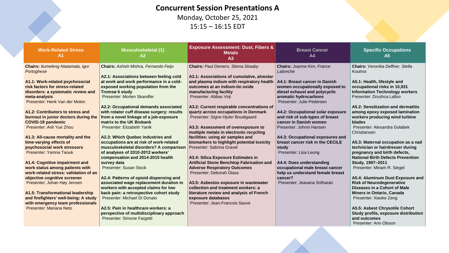#### **Concurrent Session Presentations A**

Monday, October 25, 2021 15:15 – 16:15 EDT

| <b>Work-Related Stress</b><br>A <sub>1</sub>                                                                                                                                                                                                                                                                                                                                                                                                                                                                                                                                                                                                                                                                                                                                                                 | <b>Musculoskeletal (1)</b><br>A2                                                                                                                                                                                                                                                                                                                                                                                                                                                                                                                                                                                                                                                                                                                                                                                                                                                                                                                                                                     | <b>Exposure Assessment: Dust, Fibers &amp;</b><br><b>Metals</b><br>A3                                                                                                                                                                                                                                                                                                                                                                                                                                                                                                                                                                                                                                                                                                                                                                                                                                      | <b>Breast Cancer</b><br>A <sub>4</sub>                                                                                                                                                                                                                                                                                                                                                                                                                                                                                                                                                         | <b>Specific Occupations</b><br>A <sub>5</sub>                                                                                                                                                                                                                                                                                                                                                                                                                                                                                                                                                                                                                                                                                                                                                                                                                  |
|--------------------------------------------------------------------------------------------------------------------------------------------------------------------------------------------------------------------------------------------------------------------------------------------------------------------------------------------------------------------------------------------------------------------------------------------------------------------------------------------------------------------------------------------------------------------------------------------------------------------------------------------------------------------------------------------------------------------------------------------------------------------------------------------------------------|------------------------------------------------------------------------------------------------------------------------------------------------------------------------------------------------------------------------------------------------------------------------------------------------------------------------------------------------------------------------------------------------------------------------------------------------------------------------------------------------------------------------------------------------------------------------------------------------------------------------------------------------------------------------------------------------------------------------------------------------------------------------------------------------------------------------------------------------------------------------------------------------------------------------------------------------------------------------------------------------------|------------------------------------------------------------------------------------------------------------------------------------------------------------------------------------------------------------------------------------------------------------------------------------------------------------------------------------------------------------------------------------------------------------------------------------------------------------------------------------------------------------------------------------------------------------------------------------------------------------------------------------------------------------------------------------------------------------------------------------------------------------------------------------------------------------------------------------------------------------------------------------------------------------|------------------------------------------------------------------------------------------------------------------------------------------------------------------------------------------------------------------------------------------------------------------------------------------------------------------------------------------------------------------------------------------------------------------------------------------------------------------------------------------------------------------------------------------------------------------------------------------------|----------------------------------------------------------------------------------------------------------------------------------------------------------------------------------------------------------------------------------------------------------------------------------------------------------------------------------------------------------------------------------------------------------------------------------------------------------------------------------------------------------------------------------------------------------------------------------------------------------------------------------------------------------------------------------------------------------------------------------------------------------------------------------------------------------------------------------------------------------------|
| <b>Chairs: Itumeleng Ntatamala, Igor</b><br>Portoghese<br>A1.1: Work-related psychosocial<br>risk factors for stress-related<br>disorders: a systematic review and<br>meta-analysis<br>Presenter: Henk Van der Molen<br>A1.2: Contributors to stress and<br>burnout in junior doctors during the<br><b>COVID-19 pandemic</b><br>Presenter: Anli Yue Zhou<br>A1.3: All-cause mortality and the<br>time-varying effects of<br>psychosocial work stressors<br>Presenter: Yamna Taouk<br>A1.4: Cognitive impairment and<br>work status among patients with<br>work-related stress: validation of an<br>objective cognitive screener<br>Presenter: Johan Høy Jensen<br>A1.5: Transformational leadership<br>and firefighters' well-being: A study<br>with emergency team professionals<br>Presenter: Mariana Neto | <b>Chairs:</b> Ashish Mishra, Fernando Feijo<br>A2.1: Associations between feeling cold<br>at work and work performance in a cold-<br>exposed working population from the<br>Tromsø 6 study<br>Presenter: Morten Skandfer<br>A2.2: Occupational demands associated<br>with rotator cuff disease surgery: results<br>from a novel linkage of a job-exposure<br>matrix to the UK Biobank<br>Presenter: Elizabeth Yanik<br>A2.3: Which Quebec industries and<br>occupations are at risk of work-related<br>musculoskeletal disorders? A comparison<br>of analyses of 2010-2012 workers'<br>compensation and 2014-2015 health<br>survey data<br><b>Presenter: Susan Stock</b><br>A2.4: Patterns of opioid dispensing and<br>associated wage replacement duration in<br>workers with accepted claims for low<br>back pain: a retrospective cohort study<br>Presenter: Michael Di Donato<br>A2.5: Pain in healthcare workers: a<br>perspective of multidisciplinary approach<br>Presenter: Simone Fargetti | <b>Chairs: Paul Demers, Stinna Skaaby</b><br>A3.1: Associations of cumulative, alveolar<br>and plasma indium with respiratory health<br>outcomes at an indium-tin oxide<br>manufacturing facility<br>Presenter: Abbas Virji<br>A3.2: Current respirable concentrations of<br>quartz across occupations in Denmark<br>Presenter: Signe Hjuler Boudigaard<br>A3.3: Assessment of overexposure to<br>multiple metals in electronic recycling<br>facilities: using air samples and<br>biomarkers to highlight potential toxicity<br>Presenter: Sabrina Gravel<br>A3.4: Silica Exposure Estimates in<br><b>Artificial Stone Benchtop Fabrication and</b><br><b>Adverse Respiratory Outcomes</b><br>Presenter: Deborah Glass<br>A3.5: Asbestos exposure in wastewater<br>collection and treatment workers: a<br>literature review and analysis of French<br>exposure databases<br>Presenter: Jean-Francois Sauve | <b>Chairs: Joanne Kim, France</b><br>Labreche<br>A4.1: Breast cancer in Danish<br>women occupationally exposed to<br>diesel exhaust and polycyclic<br>aromatic hydrocarbons<br>Presenter: Julie Pedersen<br>A4.2: Occupational solar exposure<br>and risk of sub-types of breast<br>cancer in Danish women<br>Presenter: Johnni Hansen<br>A4.3: Occupational exposures and<br>breast cancer risk in the CECILE<br>study<br>Presenter: Lisa Leung<br>A4.4: Does understanding<br>occupational male breast cancer<br>help us understand female breast<br>cancer?<br>Presenter: Jeavana Sritharan | Chairs: Veronika Deffner, Stella<br>Koutros<br>A5.1: Health, lifestyle and<br>occupational risks in 10,931<br><b>Information Technology workers</b><br>Presenter: Drushca Lalloo<br>A5.2: Sensitization and dermatitis<br>among epoxy exposed lamination<br>workers producing wind turbine<br><b>blades</b><br>Presenter: Alexandra Golabek<br>Christiansen<br>A5.3: Maternal occupation as a nail<br>technician or hairdresser during<br>pregnancy and birth defects,<br><b>National Birth Defects Prevention</b><br>Study, 1997-2011<br>Presenter: Miriam R. Siegel<br>A5.4: Aluminum Dust Exposure and<br><b>Risk of Neurodegenerative</b><br>Diseases in a Cohort of Male<br><b>Miners in Ontario, Canada</b><br>Presenter: Xiaoke Zeng<br>A5.5: Asbest Chrysotile Cohort<br>Study profile, exposure distribution<br>and outcomes<br>Presenter: Ann Olsson |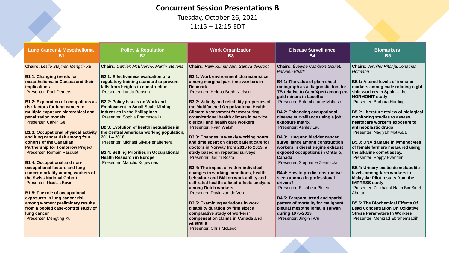#### **Concurrent Session Presentations B**

Tuesday, October 26, 2021 11:15 – 12:15 EDT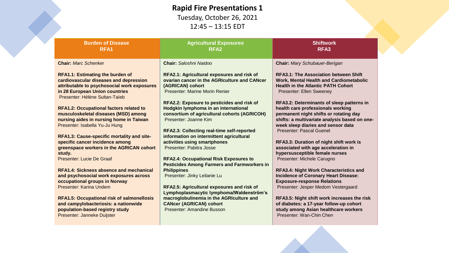#### **Rapid Fire Presentations 1**

Tuesday, October 26, 2021 12:45 – 13:15 EDT

| <b>Burden of Disease</b><br>RFA <sub>1</sub>                                                                                                                                                         | <b>Agricultural Exposures</b><br>RFA <sub>2</sub>                                                                                                                                                         | <b>Shiftwork</b><br>RFA3                                                                                                                                                                                                                           |
|------------------------------------------------------------------------------------------------------------------------------------------------------------------------------------------------------|-----------------------------------------------------------------------------------------------------------------------------------------------------------------------------------------------------------|----------------------------------------------------------------------------------------------------------------------------------------------------------------------------------------------------------------------------------------------------|
| <b>Chair: Marc Schenker</b>                                                                                                                                                                          | Chair: Saloshni Naidoo                                                                                                                                                                                    | <b>Chair: Mary Schubauer-Berigan</b>                                                                                                                                                                                                               |
| <b>RFA1.1: Estimating the burden of</b><br>cardiovascular diseases and depression<br>attributable to psychosocial work exposures<br>in 28 European Union countries<br>Presenter: Hélène Sultan-Taïeb | RFA2.1: Agricultural exposures and risk of<br>ovarian cancer in the AGRIculture and CANcer<br>(AGRICAN) cohort<br>Presenter: Marine Morin Renier                                                          | <b>RFA3.1: The Association between Shift</b><br><b>Work, Mental Health and Cardiometabolic</b><br><b>Health in the Atlantic PATH Cohort</b><br>Presenter: Ellen Sweeney                                                                            |
| <b>RFA1.2: Occupational factors related to</b><br>musculoskeletal diseases (MSD) among<br>nursing aides in nursing home in Taiwan<br>Presenter: Isabella Yu-Ju Hung                                  | RFA2.2: Exposure to pesticides and risk of<br>Hodgkin lymphoma in an international<br>consortium of agricultural cohorts (AGRICOH)<br>Presenter: Joanne Kim<br>RFA2.3: Collecting real-time self-reported | RFA3.2: Determinants of sleep patterns in<br>health care professionals working<br>permanent night shifts or rotating day<br>shifts: a multivariate analysis based on one-<br>week sleep diaries and sensor data<br><b>Presenter: Pascal Guenel</b> |
| RFA1.3: Cause-specific mortality and site-<br>specific cancer incidence among<br>greenspace workers in the AGRICAN cohort<br>study.<br>Presenter: Lucie De Graaf                                     | information on intermittent agricultural<br>activities using smartphones<br>Presenter: Pabitra Josse<br><b>RFA2.4: Occupational Risk Exposures to</b>                                                     | RFA3.3: Duration of night shift work is<br>associated with age acceleration in<br>hypersusceptible female nurses<br>Presenter: Michele Carugno                                                                                                     |
| <b>RFA1.4: Sickness absence and mechanical</b><br>and psychosocial work exposures across<br>occupational groups in Norway<br>Presenter: Karina Undem                                                 | <b>Pesticides Among Farmers and Farmworkers in</b><br><b>Philippines</b><br>Presenter: Jinky Leilanie Lu                                                                                                  | <b>RFA3.4: Night Work Characteristics and</b><br><b>Incidence of Coronary Heart Disease:</b><br><b>Exposure-response Relations</b>                                                                                                                 |
| <b>RFA1.5: Occupational risk of salmonellosis</b><br>and campylobacteriosis: a nationwide<br>population-based registry study<br>Presenter: Janneke Duijster                                          | RFA2.5: Agricultural exposures and risk of<br>Lymphoplasmacytic lymphoma/Waldenström's<br>macroglobulinemia in the AGRIculture and<br><b>CANcer (AGRICAN) cohort</b><br>Presenter: Amandine Busson        | Presenter: Jesper Medom Vestergaard<br>RFA3.5: Night shift work increases the risk<br>of diabetes: a 17-year follow-up cohort<br>study among Asian healthcare workers<br>Presenter: Wan-Chin Chen                                                  |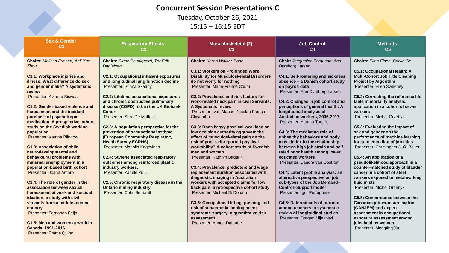#### **Concurrent Session Presentations C**

Tuesday, October 26, 2021 15:15 – 16:15 EDT

| <b>Sex &amp; Gender</b>                                                                                                                                                                                                                                                                                                                                                                                                                                                                                                                                                                                                                                                                                                                                                                                                                                                                            | <b>Respiratory Effects</b>                                                                                                                                                                                                                                                                                                                                                                                                                                                                                                                                                                                                                                                                                                                                                                       | <b>Musculoskeletal (2)</b>                                                                                                                                                                                                                                                                                                                                                                                                                                                                                                                                                                                                                                                                                                                                                                                                                                                                                                                                                                                                       | <b>Job Control</b>                                                                                                                                                                                                                                                                                                                                                                                                                                                                                                                                                                                                                                                                                                                                                                                                                                                                                     | <b>Methods</b>                                                                                                                                                                                                                                                                                                                                                                                                                                                                                                                                                                                                                                                                                                                                                                                                                                                                                                                  |
|----------------------------------------------------------------------------------------------------------------------------------------------------------------------------------------------------------------------------------------------------------------------------------------------------------------------------------------------------------------------------------------------------------------------------------------------------------------------------------------------------------------------------------------------------------------------------------------------------------------------------------------------------------------------------------------------------------------------------------------------------------------------------------------------------------------------------------------------------------------------------------------------------|--------------------------------------------------------------------------------------------------------------------------------------------------------------------------------------------------------------------------------------------------------------------------------------------------------------------------------------------------------------------------------------------------------------------------------------------------------------------------------------------------------------------------------------------------------------------------------------------------------------------------------------------------------------------------------------------------------------------------------------------------------------------------------------------------|----------------------------------------------------------------------------------------------------------------------------------------------------------------------------------------------------------------------------------------------------------------------------------------------------------------------------------------------------------------------------------------------------------------------------------------------------------------------------------------------------------------------------------------------------------------------------------------------------------------------------------------------------------------------------------------------------------------------------------------------------------------------------------------------------------------------------------------------------------------------------------------------------------------------------------------------------------------------------------------------------------------------------------|--------------------------------------------------------------------------------------------------------------------------------------------------------------------------------------------------------------------------------------------------------------------------------------------------------------------------------------------------------------------------------------------------------------------------------------------------------------------------------------------------------------------------------------------------------------------------------------------------------------------------------------------------------------------------------------------------------------------------------------------------------------------------------------------------------------------------------------------------------------------------------------------------------|---------------------------------------------------------------------------------------------------------------------------------------------------------------------------------------------------------------------------------------------------------------------------------------------------------------------------------------------------------------------------------------------------------------------------------------------------------------------------------------------------------------------------------------------------------------------------------------------------------------------------------------------------------------------------------------------------------------------------------------------------------------------------------------------------------------------------------------------------------------------------------------------------------------------------------|
| C1                                                                                                                                                                                                                                                                                                                                                                                                                                                                                                                                                                                                                                                                                                                                                                                                                                                                                                 | C2                                                                                                                                                                                                                                                                                                                                                                                                                                                                                                                                                                                                                                                                                                                                                                                               | C3                                                                                                                                                                                                                                                                                                                                                                                                                                                                                                                                                                                                                                                                                                                                                                                                                                                                                                                                                                                                                               | C <sub>4</sub>                                                                                                                                                                                                                                                                                                                                                                                                                                                                                                                                                                                                                                                                                                                                                                                                                                                                                         | C <sub>5</sub>                                                                                                                                                                                                                                                                                                                                                                                                                                                                                                                                                                                                                                                                                                                                                                                                                                                                                                                  |
| <b>Chairs: Melissa Friesen, Anli Yue</b><br><b>Zhou</b><br>C1.1: Workplace injuries and<br>illness: What difference do sex<br>and gender make? A systematic<br>review<br><b>Presenter: Aviroop Biswas</b><br>C1.2: Gender-based violence and<br>harassment and the incident<br>purchase of psychotropic<br>medication. A prospective cohort<br>study on the Swedish working<br>population<br>Presenter: Katrina Blindow<br>C1.3: Association of child<br>neurodevelopmental and<br>behavioural problems with<br>maternal unemployment in a<br>population-based birth cohort<br>Presenter: Joana Amaro<br>C1.4: The role of gender in the<br>association between sexual<br>harassment at work and suicidal<br>ideation: a study with civil<br>servants from a middle-income<br>country<br>Presenter: Fernando Feijó<br>C1.5: Men and women at work in<br>Canada, 1991-2016<br>Presenter: Emma Quinn | <b>Chairs: Signe Boudigaard, Tor Erik</b><br>Danielsen<br><b>C2.1: Occupational inhalant exposures</b><br>and longitudinal lung function decline<br>Presenter: Stinna Skaaby<br><b>C2.2: Lifetime occupational exposures</b><br>and chronic obstructive pulmonary<br>disease (COPD) risk in the UK Biobank<br><b>Cohort</b><br>Presenter: Sara De Matteis<br>C2.3: A population perspective for the<br>prevention of occupational asthma<br>(European Community Respiratory<br><b>Health Survey-ECRHS)</b><br>Presenter: Manolis Kogevinas<br><b>C2.4: Styrene associated respiratory</b><br>outcomes among reinforced plastic<br>industry workers.<br>Presenter: Zanele Zulu<br>C2.5: Chronic respiratory disease in the<br><b>Ontario mining industry</b><br><b>Presenter: Colin Berriault</b> | <b>Chairs: Karen Walker-Bone</b><br><b>C3.1: Workers on Prolonged Work</b><br><b>Disability for Musculoskeletal Disorders</b><br>do not worry for nothing<br>Presenter: Marie-France Coutu<br>C3.2: Prevalence and risk factors for<br>work-related neck pain in civil Servants:<br>A Systematic review<br>Presenter: Ivan Manuel Nicolau França<br>Chivambo<br>C3.3: Does heavy physical workload or<br>low decision authority aggravate the<br>effect of musculoskeletal pain on the<br>risk of poor self-reported physical<br>workability? A cohort study of Swedish<br>men and women<br>Presenter: Kathryn Badarin<br>C3.4: Prevalence, predictors and wage<br>replacement duration associated with<br>diagnostic imaging in Australian<br>workers with accepted claims for low<br>back pain: a retrospective cohort study<br>Presenter: Michael Di Donato<br>C3.5: Occupational lifting, pushing and<br>risk of subacromial impingement<br>syndrome surgery: a quantitative risk<br>assessment<br>Presenter: Annett Dalbøge | Chair: Jacqueline Ferguson. Ann<br><b>Dyreborg Larsen</b><br><b>C4.1: Self-rostering and sickness</b><br>absence - a Danish cohort study<br>on payroll data<br>Presenter: Ann Dyreborg Larsen<br>C4.2: Changes in job control and<br>perceptions of general health: A<br>longitudinal analysis of<br>Australian workers, 2005-2017<br>Presenter: Yamna Taouk<br>C4.3: The mediating role of<br>unhealthy behaviors and body<br>mass index in the relationship<br>between high job strain and self-<br>rated poor health among lower<br>educated workers<br>Presenter: Sandra van Oostrom<br>C4.4: Latent profile analysis: an<br>alternative perspective on job<br>sub-types of the Job Demand-<br><b>Control-Support model</b><br>Presenter: Igor Portoghese<br><b>C4.5: Determinants of burnout</b><br>among teachers: a systematic<br>review of longitudinal studies<br>Presenter: Dragan Mijakoski | <b>Chairs: Ellen Eisen, Calvin Ge</b><br><b>C5.1: Occupational Health: A</b><br><b>Multi-Cohort Job Title Cleaning</b><br><b>Project by Algorithm</b><br>Presenter: Ellen Sweeney<br>C5.2: Correcting the reference life<br>table in mortality analysis:<br>application in a cohort of sewer<br>workers<br>Presenter: Michel Grzebyk<br>C5.3: Evaluating the impact of<br>sex and gender on the<br>performance of machine learning<br>for auto encoding of job titles<br>Presenter: Christopher J. O. Baker<br>C5.4: An application of a<br>pseudolikelihood approach in a<br>counter-matched study of bladder<br>cancer in a cohort of steel<br>workers exposed to metalworking<br>fluid mists<br>Presenter: Michel Grzebyk<br>C5.5: Concordance between the<br>Canadian job-exposure matrix<br>(CANJEM) and expert<br>assessment in occupational<br>exposure assessment among<br>jobs held by women<br>Presenter: Mengting Xu |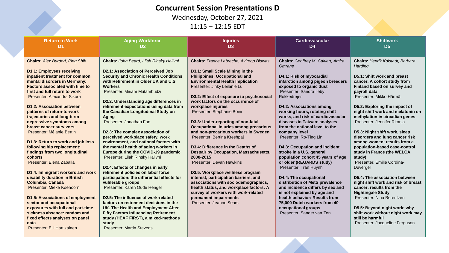#### **Concurrent Session Presentations D**

Wednesday, October 27, 2021

11:15 – 12:15 EDT

| D1<br>D <sub>2</sub><br>D <sub>3</sub><br>D <sub>4</sub>                                                                                                                                                                                                                                                                                                                                                                                                                                                                                                                                                                                                                                                                                                                                                                                                                                                                                                                                                                                                                                                                                                                                                                                                                                                                                                                                                                                                                                                                                                                                                                                                                                                                                                                                                                                                                                                                                                                                                                                                                                                                                                                                                                                                                                                                                                                                                                                                                                                                                                                                                                                                                                                                                                                                                                                                                                                                                                                                                                                                                                                                                                                                                                                                                                                                                                                                                                                                                                                                                                                                                                                                                                                                                                                                                                                                                                                                                                                                                                                                                                                                                                                                                                                                                                                                                                                                                                                                    | D <sub>5</sub>                                                                                                |
|-------------------------------------------------------------------------------------------------------------------------------------------------------------------------------------------------------------------------------------------------------------------------------------------------------------------------------------------------------------------------------------------------------------------------------------------------------------------------------------------------------------------------------------------------------------------------------------------------------------------------------------------------------------------------------------------------------------------------------------------------------------------------------------------------------------------------------------------------------------------------------------------------------------------------------------------------------------------------------------------------------------------------------------------------------------------------------------------------------------------------------------------------------------------------------------------------------------------------------------------------------------------------------------------------------------------------------------------------------------------------------------------------------------------------------------------------------------------------------------------------------------------------------------------------------------------------------------------------------------------------------------------------------------------------------------------------------------------------------------------------------------------------------------------------------------------------------------------------------------------------------------------------------------------------------------------------------------------------------------------------------------------------------------------------------------------------------------------------------------------------------------------------------------------------------------------------------------------------------------------------------------------------------------------------------------------------------------------------------------------------------------------------------------------------------------------------------------------------------------------------------------------------------------------------------------------------------------------------------------------------------------------------------------------------------------------------------------------------------------------------------------------------------------------------------------------------------------------------------------------------------------------------------------------------------------------------------------------------------------------------------------------------------------------------------------------------------------------------------------------------------------------------------------------------------------------------------------------------------------------------------------------------------------------------------------------------------------------------------------------------------------------------------------------------------------------------------------------------------------------------------------------------------------------------------------------------------------------------------------------------------------------------------------------------------------------------------------------------------------------------------------------------------------------------------------------------------------------------------------------------------------------------------------------------------------------------------------------------------------------------------------------------------------------------------------------------------------------------------------------------------------------------------------------------------------------------------------------------------------------------------------------------------------------------------------------------------------------------------------------------------------------------------------------------------------------------------------|---------------------------------------------------------------------------------------------------------------|
| <b>Chairs: Alex Burdorf, Ping Shih</b><br>Chairs: John Beard, Lilah Rinsky Halivni<br>Chairs: France Labreche, Aviroop Biswas<br>Chairs: Geoffrey M. Calvert, Amira<br>Chairs: Henrik Kolstadt, Barbara<br>Omrane<br>Harding<br>D2.1: Association of Perceived Job<br>D3.1: Small Scale Mining in the<br><b>D1.1: Employees receiving</b><br>inpatient treatment for common<br><b>Philippines: Occupational and</b><br><b>Security and Chronic Health Conditions</b><br>D4.1: Risk of myocardial<br>D5.1: Shift work and breast<br>with Retirement in Older UK and U.S.<br><b>Environmental Health Implication</b><br>mental disorders in Germany:<br>infarction among pigeon breeders<br>cancer. A cohort study from<br><b>Factors associated with time to</b><br><b>Workers</b><br>Presenter: Jinky Leilanie Lu<br>exposed to organic dust<br>Finland based on survey and<br>Presenter: Sandra Ileby<br>Presenter: Miriam Mutambudzi<br>first and full return to work<br>payroll data<br>D3.2: Effect of exposure to psychosocial<br>Rokkedrejer<br>Presenter: Mikko Härmä<br>Presenter: Alexandra Sikora<br>D2.2: Understanding age differences in<br>work factors on the occurrence of<br>retirement expectations using data from<br><b>D4.2: Associations among</b><br><b>D1.2: Association between</b><br>workplace injuries<br>D5.2: Exploring the impact of<br>patterns of return-to-work<br>the Canadian Longitudinal Study on<br>Presenter: Stephanie Boini<br>working hours, rotating shift<br>works, and risk of cardiovascular<br>methylation in circadian genes<br>trajectories and long-term<br>Aging<br>Presenter: Jonathan Fan<br>diseases in Taiwan: analyses<br>D3.3: Under-reporting of non-fatal<br>Presenter: Jennifer Ritonja<br>depressive symptoms among<br>Occupational Injuries among precarious<br>from the national level to the<br>breast cancer survivors<br>D2.3: The complex association of<br>and non-precarious workers in Sweden<br>D5.3: Night shift work, sleep<br>Presenter: Mélanie Bertin<br>company level<br>disorders and lung cancer risk<br>perceived workplace safety, work<br>Presenter: Bertina Kreshpaj<br>Presenter: Ro-Ting Lin<br>environment, and national factors with<br>among women: results from a<br>D1.3: Return to work and job loss<br>D3.4: Difference in the Deaths of<br>D4.3: Occupation and incident<br>population-based case-control<br>following hip replacement:<br>the mental health of aging workers in<br>findings from two longitudinal<br>Europe during the COVID-19 pandemic<br><b>Despair by Occupation, Massachusetts,</b><br>stroke in a U.S. general<br>study in France (the WELCA<br>Presenter: Lilah Rinsky Halivni<br>population cohort 45 years of age<br>cohorts<br>2000-2015<br>study)<br>Presenter: Elena Zaballa<br>Presenter: Devan Hawkins<br>or older (REGARDS study)<br>Presenter: Emilie Cordina-<br>D2.4: Effects of changes in early<br>Presenter: Tran Huynh<br>Duverger<br>retirement policies on labor force<br>D1.4: Immigrant workers and work<br>D3.5: Workplace wellness program<br>disability duration in British<br>participation: the differential effects for<br>interest, participation barriers, and<br>D4.4: The occupational<br>D5.4: The association between<br><b>Columbia, Canada</b><br>associations with sociodemographics,<br>distribution of MetS prevalence<br>vulnerable groups<br>Presenter: Mieke Koehoorn<br>Presenter: Karen Oude Hengel<br>health status, and workplace factors: A<br>and incidence differs by sex and<br>cancer: results from the<br>survey of workers with work-related<br>is not explained by age and<br><b>Nightingale Study</b><br>D2.5: The influence of work-related<br>health behavior: Results from<br>Presenter: Nina Berentzen<br><b>D1.5: Associations of employment</b><br>permanent impairments<br>sector and occupational<br>factors on retirement decisions in the<br>Presenter: Jeanne Sears<br>75,000 Dutch workers from 40<br>exposures with full and part-time<br>UK. The Health and Employment After<br>D5.5: Beyond night work: why<br>occupational groups<br>sickness absence: random and<br><b>Fifty Factors Influencing Retirement</b><br>Presenter: Sander van Zon<br>study (HEAF FIRST), a mixed-methods<br>still be harmful<br>fixed effects analyses on panel<br>Presenter: Jacqueline Ferguson<br>data<br>study<br>Presenter: Elli Hartikainen<br><b>Presenter: Martin Stevens</b> | night shift work and melatonin on<br>night shift work and risk of breast<br>shift work without night work may |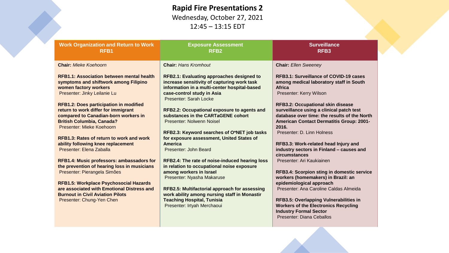#### **Rapid Fire Presentations 2** Wednesday, October 27, 2021

12:45 – 13:15 EDT

| <b>Work Organization and Return to Work</b><br>RFB <sub>1</sub>                                                                                                                               | <b>Exposure Assessment</b><br>RFB <sub>2</sub>                                                                                                                                                          | <b>Surveillance</b><br>RFB <sub>3</sub>                                                                                                                                                              |
|-----------------------------------------------------------------------------------------------------------------------------------------------------------------------------------------------|---------------------------------------------------------------------------------------------------------------------------------------------------------------------------------------------------------|------------------------------------------------------------------------------------------------------------------------------------------------------------------------------------------------------|
| <b>Chair: Mieke Koehoorn</b>                                                                                                                                                                  | <b>Chair: Hans Kromhout</b>                                                                                                                                                                             | <b>Chair: Ellen Sweeney</b>                                                                                                                                                                          |
| <b>RFB1.1: Association between mental health</b><br>symptoms and shiftwork among Filipino<br>women factory workers<br>Presenter: Jinky Leilanie Lu                                            | <b>RFB2.1: Evaluating approaches designed to</b><br>increase sensitivity of capturing work task<br>information in a multi-center hospital-based<br>case-control study in Asia<br>Presenter: Sarah Locke | <b>RFB3.1: Surveillance of COVID-19 cases</b><br>among medical laboratory staff in South<br><b>Africa</b><br>Presenter: Kerry Wilson                                                                 |
| <b>RFB1.2: Does participation in modified</b><br>return to work differ for immigrant<br>compared to Canadian-born workers in<br><b>British Columbia, Canada?</b><br>Presenter: Mieke Koehoorn | RFB2.2: Occupational exposure to agents and<br>substances in the CARTaGENE cohort<br>Presenter: Nolwenn Noisel                                                                                          | <b>RFB3.2: Occupational skin disease</b><br>surveillance using a clinical patch test<br>database over time: the results of the North<br><b>American Contact Dermatitis Group: 2001-</b><br>2016.     |
| <b>RFB1.3: Rates of return to work and work</b><br>ability following knee replacement<br>Presenter: Elena Zaballa                                                                             | RFB2.3: Keyword searches of O*NET job tasks<br>for exposure assessment, United States of<br>America<br>Presenter: John Beard                                                                            | Presenter: D. Linn Holness<br>RFB3.3: Work-related head Injury and<br>industry sectors in Finland - causes and<br>circumstances                                                                      |
| RFB1.4: Music professors: ambassadors for<br>the prevention of hearing loss in musicians<br>Presenter: Pierangela Simões<br><b>RFB1.5: Workplace Psychosocial Hazards</b>                     | RFB2.4: The rate of noise-induced hearing loss<br>in relation to occupational noise exposure<br>among workers in Israel<br>Presenter: Nyasha Makaruse                                                   | Presenter: Ari Kaukiainen<br><b>RFB3.4: Scorpion sting in domestic service</b><br>workers (homemakers) in Brazil: an<br>epidemiological approach                                                     |
| are associated with Emotional Distress and<br><b>Burnout in Civil Aviation Pilots</b><br>Presenter: Chung-Yen Chen                                                                            | RFB2.5: Multifactorial approach for assessing<br>work ability among nursing staff in Monastir<br><b>Teaching Hospital, Tunisia</b><br>Presenter: Irtyah Merchaoui                                       | Presenter: Ana Caroline Caldas Almeida<br><b>RFB3.5: Overlapping Vulnerabilities in</b><br><b>Workers of the Electronics Recycling</b><br><b>Industry Formal Sector</b><br>Presenter: Diana Ceballos |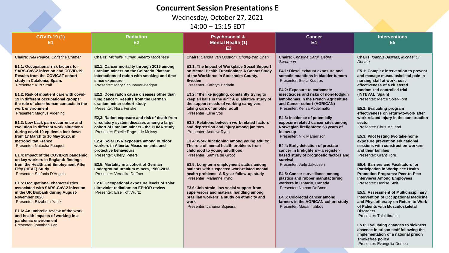#### **Concurrent Session Presentations E**

Wednesday, October 27, 2021

14:00 – 15:15 EDT

| <b>COVID-19 (1)</b><br>E1                                                                                                                                                                                                                                                                                                                                                                                                                                                                                                                                                                                                                                                                                                                                                                                                                                                                                                                                                                                                                                                                                                                      | <b>Radiation</b><br>E <sub>2</sub>                                                                                                                                                                                                                                                                                                                                                                                                                                                                                                                                                                                                                                                                                                                                                                                                                                                                                                                                 | <b>Psychosocial &amp;</b><br><b>Mental Health (1)</b><br>E <sub>3</sub>                                                                                                                                                                                                                                                                                                                                                                                                                                                                                                                                                                                                                                                                                                                                                                                                                                                                                                                                                                                                        | <b>Cancer</b><br><b>E4</b>                                                                                                                                                                                                                                                                                                                                                                                                                                                                                                                                                                                                                                                                                                                                                                                                                                                                                | <b>Interventions</b><br>E <sub>5</sub>                                                                                                                                                                                                                                                                                                                                                                                                                                                                                                                                                                                                                                                                                                                                                                                                                                                                                                                                                                                                                                                                          |
|------------------------------------------------------------------------------------------------------------------------------------------------------------------------------------------------------------------------------------------------------------------------------------------------------------------------------------------------------------------------------------------------------------------------------------------------------------------------------------------------------------------------------------------------------------------------------------------------------------------------------------------------------------------------------------------------------------------------------------------------------------------------------------------------------------------------------------------------------------------------------------------------------------------------------------------------------------------------------------------------------------------------------------------------------------------------------------------------------------------------------------------------|--------------------------------------------------------------------------------------------------------------------------------------------------------------------------------------------------------------------------------------------------------------------------------------------------------------------------------------------------------------------------------------------------------------------------------------------------------------------------------------------------------------------------------------------------------------------------------------------------------------------------------------------------------------------------------------------------------------------------------------------------------------------------------------------------------------------------------------------------------------------------------------------------------------------------------------------------------------------|--------------------------------------------------------------------------------------------------------------------------------------------------------------------------------------------------------------------------------------------------------------------------------------------------------------------------------------------------------------------------------------------------------------------------------------------------------------------------------------------------------------------------------------------------------------------------------------------------------------------------------------------------------------------------------------------------------------------------------------------------------------------------------------------------------------------------------------------------------------------------------------------------------------------------------------------------------------------------------------------------------------------------------------------------------------------------------|-----------------------------------------------------------------------------------------------------------------------------------------------------------------------------------------------------------------------------------------------------------------------------------------------------------------------------------------------------------------------------------------------------------------------------------------------------------------------------------------------------------------------------------------------------------------------------------------------------------------------------------------------------------------------------------------------------------------------------------------------------------------------------------------------------------------------------------------------------------------------------------------------------------|-----------------------------------------------------------------------------------------------------------------------------------------------------------------------------------------------------------------------------------------------------------------------------------------------------------------------------------------------------------------------------------------------------------------------------------------------------------------------------------------------------------------------------------------------------------------------------------------------------------------------------------------------------------------------------------------------------------------------------------------------------------------------------------------------------------------------------------------------------------------------------------------------------------------------------------------------------------------------------------------------------------------------------------------------------------------------------------------------------------------|
| <b>Chairs: Neil Pearce, Christine Cramer</b><br>E1.1: Occupational risk factors for<br><b>SARS-CoV-2 infection and COVID-19:</b><br><b>Results from the COVICAT cohort</b><br>study in Catalonia, Spain.<br><b>Presenter: Kurt Straif</b><br>E1.2: Risk of inpatient care with covid-<br>19 in different occupational groups:<br>the role of close human contacts in the<br>work environment<br><b>Presenter: Magnus Alderling</b><br>E1.3: Low back pain occurrence and<br>evolution in different work situations<br>during covid-19 epidemic lockdown<br>from 17 March to 10 May 2020, in<br>metropolitan France<br>Presenter: Natacha Fouquet<br>E1.4: Impact of the COVID-19 pandemic<br>on key workers in England: findings<br>from the Health and Employment After<br><b>Fifty (HEAF) Study</b><br>Presenter: Stefania D'Angelo<br><b>E1.5: Occupational characteristics</b><br>associated with SARS-CoV-2 infection<br>in the UK Biobank during August-<br>November 2020<br>Presenter: Elizabeth Yanik<br>E1.6: An umbrella review of the work<br>and health impacts of working in a<br>pandemic environment<br>Presenter: Jonathan Fan | <b>Chairs: Michelle Turner, Alberto Modenese</b><br>E2.1: Cancer mortality through 2016 among<br>uranium miners on the Colorado Plateau:<br>interactions of radon with smoking and time<br>since exposure<br>Presenter: Mary Schubauer-Berigan<br>E2.2: Does radon cause diseases other than<br>lung cancer? Results from the German<br>uranium miner cohort study<br>Presenter: Nora Fenske<br>E2,3: Radon exposure and risk of death from<br>circulatory system diseases among a large<br>cohort of uranium miners - the PUMA study<br>Presenter: Estelle Rage - de Moissy<br>E2.4: Solar UVR exposure among outdoor<br>workers in Alberta: Measurements and<br>protective behaviours<br><b>Presenter: Cheryl Peters</b><br>E2.5: Mortality in a cohort of German<br>underground uranium miners, 1960-2013<br>Presenter: Veronika Deffner<br>E2.6: Occupational exposure levels of solar<br>ultraviolet radiation: an EPHOR review<br>Presenter: Else Toft Würtz | Chairs: Sandra van Oostrom, Chung-Yen Chen<br>E3.1: The Impact of Workplace Social Support<br>on Mental Health Functioning: A Cohort Study<br>of the Workforce in Stockholm County,<br><b>Sweden</b><br>Presenter: Kathryn Badarin<br>E3.2: "It's like juggling, constantly trying to<br>keep all balls in the air": A qualitative study of<br>the support needs of working caregivers<br>taking care of an older adult<br>Presenter: Eline Vos<br>E3.3: Relations between work-related factors<br>and depression and injury among janitors<br>Presenter: Andrew Ryan<br>E3.4: Work functioning among young adults:<br>The role of mental health problems from<br>childhood to young adulthood<br>Presenter: Samira de Groot<br>E3.5: Long-term employment status among<br>patients with suspected work-related mental<br>health problems: A 5-year follow-up study<br>Presenter: Marianne Kyndi<br>E3.6: Job strain, low social support from<br>supervisors and material handling among<br>brazilian workers: a study on ethnicity and<br>work<br>Presenter: Janaína Siqueira | <b>Chairs:</b> Christine Barul, Debra<br>Silverman<br>E4.1: Diesel exhaust exposure and<br>somatic mutations in bladder tumors<br>Presenter: Stella Koutros<br>E4.2: Exposure to carbamate<br>insecticides and risks of non-Hodgkin<br>lymphomas in the French Agriculture<br>and Cancer cohort (AGRICAN)<br>Presenter: Kenza Abdelmalki<br>E4.3: Incidence of potentially<br>exposure-related cancer sites among<br>Norwegian firefighters: 58 years of<br>follow-up<br>Presenter: Niki Marjerrison<br>E4.4: Early detection of prostate<br>cancer in firefighters - a register-<br>based study of prognostic factors and<br>survival<br>Presenter: Jarle Jakobsen<br>E4.5: Cancer surveillance among<br>plastics and rubber manufacturing<br>workers in Ontario, Canada<br>Presenter: Nathan DeBono<br>E4.6: Colorectal cancer among<br>farmers in the AGRICAN cohort study<br>Presenter: Madar Talibov | <b>Chairs: Ioannis Basinas, Michael Di</b><br>Donato<br>E5.1: Complex intervention to prevent<br>and manage musculoskeletal pain in<br>nursing staff at work: cost-<br>effectiveness of a clustered<br>randomized controlled trial<br>(INTEVAL_Spain)<br>Presenter: Merce Soler-Font<br>E5.2: Evaluating program<br>effectiveness on return-to-work after<br>work-related injury in the construction<br>sector<br>Presenter: Chris McLeod<br>E5.3: Pilot testing two take-home<br>exposure prevention educational<br>sessions with construction workers<br>and their families<br><b>Presenter: Grant Tore</b><br>E5.4: Barriers and Facilitators for<br><b>Participation in Workplace Health</b><br><b>Promotion Programs: Peer-to-Peer</b><br><b>Interviews Among Employees</b><br>Presenter: Denise Smit<br>E5.5: Assessment of Multidisciplinary<br><b>Intervention of Occupational Medicine</b><br>and Physiotherapy on Return to Work<br>of Patients with Musculoskeletal<br><b>Disorders</b><br>Presenter: Talal Ibrahim<br>E5.6: Evaluating changes to sickness<br>absence in prison staff following the |
|                                                                                                                                                                                                                                                                                                                                                                                                                                                                                                                                                                                                                                                                                                                                                                                                                                                                                                                                                                                                                                                                                                                                                |                                                                                                                                                                                                                                                                                                                                                                                                                                                                                                                                                                                                                                                                                                                                                                                                                                                                                                                                                                    |                                                                                                                                                                                                                                                                                                                                                                                                                                                                                                                                                                                                                                                                                                                                                                                                                                                                                                                                                                                                                                                                                |                                                                                                                                                                                                                                                                                                                                                                                                                                                                                                                                                                                                                                                                                                                                                                                                                                                                                                           | implementation of a national prison                                                                                                                                                                                                                                                                                                                                                                                                                                                                                                                                                                                                                                                                                                                                                                                                                                                                                                                                                                                                                                                                             |

**smokefree policy**

Presenter: Evangelia Demou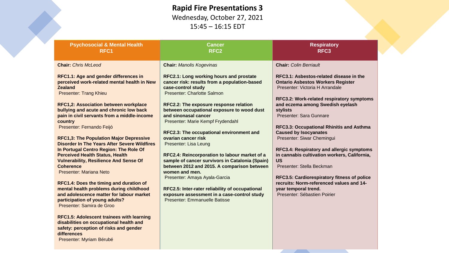#### **Rapid Fire Presentations 3**

Wednesday, October 27, 2021 15:45 – 16:15 EDT

| <b>Psychosocial &amp; Mental Health</b><br>RFC <sub>1</sub>                                                                                                                                                                                                                                                                                                                                                                                                                                                                                                                                                                                                                                                                                                                                                                                                                                                            | <b>Cancer</b><br>RFC <sub>2</sub>                                                                                                                                                                                                                                                                                                                                                                                                                                                                                                                                                                                                                                                                                                             | <b>Respiratory</b><br>RFC <sub>3</sub>                                                                                                                                                                                                                                                                                                                                                                                                                                                                                                                                                                                                                           |
|------------------------------------------------------------------------------------------------------------------------------------------------------------------------------------------------------------------------------------------------------------------------------------------------------------------------------------------------------------------------------------------------------------------------------------------------------------------------------------------------------------------------------------------------------------------------------------------------------------------------------------------------------------------------------------------------------------------------------------------------------------------------------------------------------------------------------------------------------------------------------------------------------------------------|-----------------------------------------------------------------------------------------------------------------------------------------------------------------------------------------------------------------------------------------------------------------------------------------------------------------------------------------------------------------------------------------------------------------------------------------------------------------------------------------------------------------------------------------------------------------------------------------------------------------------------------------------------------------------------------------------------------------------------------------------|------------------------------------------------------------------------------------------------------------------------------------------------------------------------------------------------------------------------------------------------------------------------------------------------------------------------------------------------------------------------------------------------------------------------------------------------------------------------------------------------------------------------------------------------------------------------------------------------------------------------------------------------------------------|
| <b>Chair: Chris McLeod</b>                                                                                                                                                                                                                                                                                                                                                                                                                                                                                                                                                                                                                                                                                                                                                                                                                                                                                             | <b>Chair: Manolis Kogevinas</b>                                                                                                                                                                                                                                                                                                                                                                                                                                                                                                                                                                                                                                                                                                               | <b>Chair: Colin Berriault</b>                                                                                                                                                                                                                                                                                                                                                                                                                                                                                                                                                                                                                                    |
| RFC1.1: Age and gender differences in<br>perceived work-related mental health in New<br><b>Zealand</b><br><b>Presenter: Trang Khieu</b><br><b>RFC1,2: Association between workplace</b><br>bullying and acute and chronic low back<br>pain in civil servants from a middle-income<br>country<br>Presenter: Fernando Feijó<br><b>RFC1,3: The Population Major Depressive</b><br><b>Disorder In The Years After Severe Wildfires</b><br>In Portugal Centro Region: The Role Of<br><b>Perceived Health Status, Health</b><br><b>Vulnerability, Resilience And Sense Of</b><br><b>Coherence</b><br>Presenter: Mariana Neto<br>RFC1.4: Does the timing and duration of<br>mental health problems during childhood<br>and adolescence matter for labour market<br>participation of young adults?<br>Presenter: Samira de Groo<br><b>RFC1.5: Adolescent trainees with learning</b><br>disabilities on occupational health and | <b>RFC2.1: Long working hours and prostate</b><br>cancer risk: results from a population-based<br>case-control study<br>Presenter: Charlotte Salmon<br>RFC2.2: The exposure response relation<br>between occupational exposure to wood dust<br>and sinonasal cancer<br>Presenter: Marie Kempf Frydendahl<br>RFC2.3: The occupational environment and<br>ovarian cancer risk<br>Presenter: Lisa Leung<br>RFC2.4: Reincorporation to labour market of a<br>sample of cancer survivors in Catalonia (Spain)<br>between 2012 and 2015. A comparison between<br>women and men.<br>Presenter: Amaya Ayala-Garcia<br>RFC2.5: Inter-rater reliability of occupational<br>exposure assessment in a case-control study<br>Presenter: Emmanuelle Batisse | RFC3.1: Asbestos-related disease in the<br><b>Ontario Asbestos Workers Register</b><br>Presenter: Victoria H Arrandale<br>RFC3.2: Work-related respiratory symptoms<br>and eczema among Swedish eyelash<br><b>stylists</b><br>Presenter: Sara Gunnare<br><b>RFC3.3: Occupational Rhinitis and Asthma</b><br><b>Caused by Isocyanates</b><br>Presenter: Siwar Chemingui<br>RFC3.4: Respiratory and allergic symptoms<br>in cannabis cultivation workers, California,<br><b>US</b><br>Presenter: Stella Beckman<br>RFC3.5: Cardiorespiratory fitness of police<br>recruits: Norm-referenced values and 14-<br>year temporal trend.<br>Presenter: Sébastien Poirier |
| safety: perception of risks and gender<br>differences                                                                                                                                                                                                                                                                                                                                                                                                                                                                                                                                                                                                                                                                                                                                                                                                                                                                  |                                                                                                                                                                                                                                                                                                                                                                                                                                                                                                                                                                                                                                                                                                                                               |                                                                                                                                                                                                                                                                                                                                                                                                                                                                                                                                                                                                                                                                  |

Presenter: Myriam Bérubé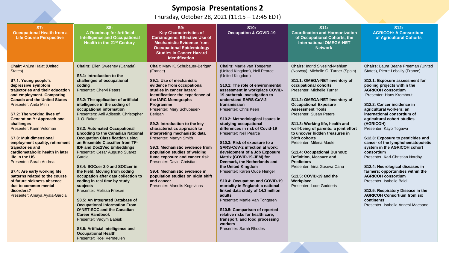#### **Symposia Presentations 2**

Thursday, October 28, 2021 (11:15 – 12:45 EDT)

| <b>S7:</b><br><b>Occupational Health from a</b><br><b>Life Course Perspective</b>                                                                                                                                                                                                                                                                                                                                                                                                                                                                                                                                                                                                      | <b>S8:</b><br><b>A Roadmap for Artificial</b><br><b>Intelligence and Occupational</b><br>Health in the 21 <sup>st</sup> Century                                                                                                                                                                                                                                                                                                                                                                                                                                                                                                                                                                                                                                                                                                                                                                                                                                                                        | S9:<br><b>Key Characteristics of</b><br><b>Carcinogens: Effective Use of</b><br><b>Mechanistic Evidence from</b><br><b>Occupational Epidemiology</b><br><b>Studies in Cancer Hazard</b><br><b>Identification</b>                                                                                                                                                                                                                                                                                                                                                                                                                         | S10:<br><b>Occupation &amp; COVID-19</b>                                                                                                                                                                                                                                                                                                                                                                                                                                                                                                                                                                                                                                                                                                                                                                                                                                                                                | S11:<br><b>Coordination and Harmonization</b><br>of Occupational Cohorts, the<br><b>International OMEGA-NET</b><br><b>Network</b>                                                                                                                                                                                                                                                                                                                                                                                                                                                                                                                | S <sub>12</sub> :<br><b>AGRICOH: A Consortium</b><br>of Agricultural Cohorts                                                                                                                                                                                                                                                                                                                                                                                                                                                                                                                                                                                                                                                                                                                          |
|----------------------------------------------------------------------------------------------------------------------------------------------------------------------------------------------------------------------------------------------------------------------------------------------------------------------------------------------------------------------------------------------------------------------------------------------------------------------------------------------------------------------------------------------------------------------------------------------------------------------------------------------------------------------------------------|--------------------------------------------------------------------------------------------------------------------------------------------------------------------------------------------------------------------------------------------------------------------------------------------------------------------------------------------------------------------------------------------------------------------------------------------------------------------------------------------------------------------------------------------------------------------------------------------------------------------------------------------------------------------------------------------------------------------------------------------------------------------------------------------------------------------------------------------------------------------------------------------------------------------------------------------------------------------------------------------------------|------------------------------------------------------------------------------------------------------------------------------------------------------------------------------------------------------------------------------------------------------------------------------------------------------------------------------------------------------------------------------------------------------------------------------------------------------------------------------------------------------------------------------------------------------------------------------------------------------------------------------------------|-------------------------------------------------------------------------------------------------------------------------------------------------------------------------------------------------------------------------------------------------------------------------------------------------------------------------------------------------------------------------------------------------------------------------------------------------------------------------------------------------------------------------------------------------------------------------------------------------------------------------------------------------------------------------------------------------------------------------------------------------------------------------------------------------------------------------------------------------------------------------------------------------------------------------|--------------------------------------------------------------------------------------------------------------------------------------------------------------------------------------------------------------------------------------------------------------------------------------------------------------------------------------------------------------------------------------------------------------------------------------------------------------------------------------------------------------------------------------------------------------------------------------------------------------------------------------------------|-------------------------------------------------------------------------------------------------------------------------------------------------------------------------------------------------------------------------------------------------------------------------------------------------------------------------------------------------------------------------------------------------------------------------------------------------------------------------------------------------------------------------------------------------------------------------------------------------------------------------------------------------------------------------------------------------------------------------------------------------------------------------------------------------------|
| <b>Chair: Anjum Hajat (United</b><br>States)<br>S7.1: Young people's<br>depressive symptom<br>trajectories and their education<br>and employment. Comparing<br><b>Canada and the United States</b><br><b>Presenter: Anita Minh</b><br>S7.2: The working lives of<br><b>Generation Y: Approach and</b><br>challenges<br>Presenter: Karin Veldman<br>S7.3: Multidimensional<br>employment quality, retirement<br>trajectories and<br>cardiometabolic health in later<br>life in the US<br>Presenter: Sarah Andrea<br>S7.4: Are early working life<br>patterns related to the course<br>of future sickness absence<br>due to common mental<br>disorders?<br>Presenter: Amaya Ayala-Garcia | <b>Chairs: Ellen Sweeney (Canada)</b><br>S8.1: Introduction to the<br>challenges of occupational<br>coding<br>Presenter: Cheryl Peters<br>S8.2: The application of artificial<br>intelligence in the coding of<br>occupational information<br>Presenters: Anil Adisesh, Christopher<br>J. O. Baker<br><b>S8.3: Automated Occupational</b><br><b>Encoding to the Canadian National</b><br><b>Occupation Classification using</b><br>an Ensemble Classifier from TF-<br><b>IDF and Doc2Vec Embeddings</b><br>Presenter: Cesar Augusto Suarez<br>Garcia<br>S8.4: SOCcer 2.0 and SOCcer in<br>the Field: Moving from coding<br>occupation after data collection to<br>coding in real time by study<br>subjects<br>Presenter: Melissa Friesen<br>S8.5: An Integrated Database of<br><b>Occupational Information From</b><br>O*NET-SOC and the Canadian<br><b>Career Handbook</b><br>Presenter: Vadym Babiuk<br>S8.6: Artificial intelligence and<br><b>Occupational Health</b><br>Presenter: Roel Vermeulen | Chair: Mary K. Schubauer-Berigan<br>(France)<br>S9.1: Use of mechanistic<br>evidence from occupational<br>studies in cancer hazard<br>identification: the experience of<br>the IARC Monographs<br>Programme<br>Presenter: Mary Schubauer-<br>Berigan<br>S9.2: Introduction to the key<br>characteristics approach to<br>interpreting mechanistic data<br>Presenter: Martyn Smith<br>S9.3: Mechanistic evidence from<br>population studies of welding<br>fume exposure and cancer risk<br>Presenter: David Christiani<br>S9.4: Mechanistic evidence in<br>population studies on night shift<br>and cancer<br>Presenter: Manolis Kogevinas | <b>Chairs: Martie van Tongeren</b><br>(United Kingdom), Neil Pearce<br>(United Kingdom)<br>S10.1: The role of environmental<br>assessment in workplace COVID-<br>19 outbreak investigation to<br>understand SARS-CoV-2<br>transmission<br>Presenter: Chris Keen<br>S10.2: Methodological issues in<br>studying occupational<br>differences in risk of Covid-19<br>Presenter: Neil Pearce<br>S10.3: Risk of exposure to a<br><b>SARS-CoV-2 infection at work:</b><br>development of a Job Exposure<br>Matrix (COVID-19-JEM) for<br>Denmark, the Netherlands and<br>the United Kingdom<br>Presenter: Karen Oude Hengel<br>S10.4: Occupation and COVID-19<br>mortality in England: a national<br>linked data study of 14.3 million<br>adults<br>Presenter: Martie Van Tongeren<br>S10.5: Comparison of reported<br>relative risks for health care.<br>transport, and food processing<br>workers<br>Presenter: Sarah Rhodes | <b>Chairs: Ingrid Sivesind-Mehlum</b><br>(Norway), Michelle C. Turner (Spain)<br>S11.1: OMEGA-NET inventory of<br>occupational cohorts<br>Presenter: Michelle Turner<br>S11.2: OMEGA-NET Inventory of<br><b>Occupational Exposure</b><br><b>Assessment Tools</b><br>Presenter: Susan Peters<br>S11.3: Working life, health and<br>well-being of parents: a joint effort<br>to uncover hidden treasures in<br>birth cohorts<br>Presenter: Milena Maule<br><b>S11.4: Occupational Burnout:</b><br>Definition, Measure and<br><b>Predictors</b><br>Presenter: Irina Guseva Canu<br>S11.5: COVID-19 and the<br>Workplace<br>Presenter: Lode Godderis | <b>Chairs:</b> Laura Beane Freeman (United<br>States), Pierre Lebailly (France)<br>S12.1: Exposure assessment for<br>pooling projects within the<br><b>AGRICOH consortium</b><br>Presenter: Hans Kromhout<br>S12.2: Cancer incidence in<br>agricultural workers: an<br>international consortium of<br>agricultural cohort studies<br>(AGRICOH)<br>Presenter: Kayo Togawa<br>S12.3: Exposure to pesticides and<br>cancer of the lymphohematopoietic<br>system in the AGRICOH cohort<br>consortium<br>Presenter: Karl-Christian Nordby<br>S12.4: Neurological diseases in<br>farmers: opportunities within the<br><b>AGRICOH consortium</b><br>Presenter: Isabelle Baldi<br>S12.5: Respiratory Disease in the<br><b>AGRICOH Consortium from six</b><br>continents<br>Presenter: Isabella Annesi-Maesano |